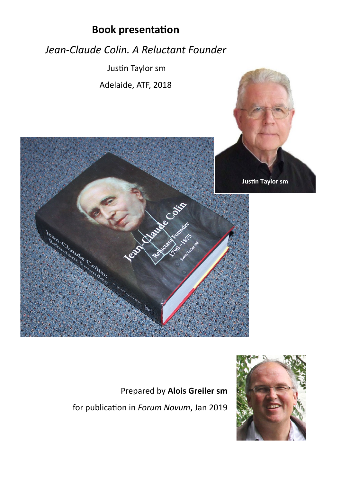

## Prepared by **Alois Greiler sm**

for publication in *Forum Novum*, Jan 2019

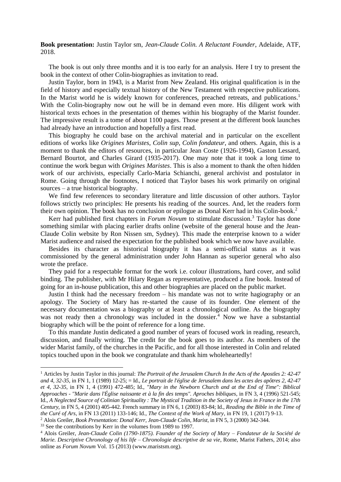**Book presentation:** Justin Taylor sm, *Jean-Claude Colin. A Reluctant Founder*, Adelaide, ATF, 2018.

The book is out only three months and it is too early for an analysis. Here I try to present the book in the context of other Colin-biographies as invitation to read.

Justin Taylor, born in 1943, is a Marist from New Zealand. His original qualification is in the field of history and especially textual history of the New Testament with respective publications. In the Marist world he is widely known for conferences, preached retreats, and publications.<sup>1</sup> With the Colin-biography now out he will be in demand even more. His diligent work with historical texts echoes in the presentation of themes within his biography of the Marist founder. The impressive result is a tome of about 1100 pages. Those present at the different book launches had already have an introduction and hopefully a first read.

This biography he could base on the archival material and in particular on the excellent editions of works like *Origines Maristes*, *Colin sup*, *Colin fondateur*, and others. Again, this is a moment to thank the editors of resources, in particular Jean Coste (1926-1994), Gaston Lessard, Bernard Bourtot, and Charles Girard (1935-2017). One may note that it took a long time to continue the work begun with *Origines Maristes*. This is also a moment to thank the often hidden work of our archivists, especially Carlo-Maria Schianchi, general archivist and postulator in Rome. Going through the footnotes, I noticed that Taylor bases his work primarily on original sources – a true historical biography.

We find few references to secondary literature and little discussion of other authors. Taylor follows strictly two principles: He presents his reading of the sources. And, let the readers form their own opinion. The book has no conclusion or epilogue as Donal Kerr had in his Colin-book.<sup>2</sup>

Kerr had published first chapters in *Forum Novum* to stimulate discussion.<sup>3</sup> Taylor has done something similar with placing earlier drafts online (website of the general house and the Jean-Claude Colin website by Ron Nissen sm, Sydney). This made the enterprise known to a wider Marist audience and raised the expectation for the published book which we now have available.

Besides its character as historical biography it has a semi-official status as it was commissioned by the general administration under John Hannan as superior general who also wrote the preface.

They paid for a respectable format for the work i.e. colour illustrations, hard cover, and solid binding. The publisher, with Mr Hilary Regan as representative, produced a fine book. Instead of going for an in-house publication, this and other biographies are placed on the public market.

Justin I think had the necessary freedom – his mandate was not to write hagiography or an apology. The Society of Mary has re-started the cause of its founder. One element of the necessary documentation was a biography or at least a chronological outline. As the biography was not ready then a chronology was included in the dossier.<sup>4</sup> Now we have a substantial biography which will be the point of reference for a long time.

To this mandate Justin dedicated a good number of years of focused work in reading, research, discussion, and finally writing. The credit for the book goes to its author. As members of the wider Marist family, of the churches in the Pacific, and for all those interested in Colin and related topics touched upon in the book we congratulate and thank him wholeheartedly!

<u>.</u>

<sup>1</sup> Articles by Justin Taylor in this journal: *The Portrait of the Jerusalem Church In the Acts of the Apostles 2: 42-47 and 4, 32-35*, in FN 1, 1 (1989) 12-25; = Id., *Le portrait de l'église de Jerusalem dans les actes des apôtres 2, 42-47 et 4, 32-35*, in FN 1, 4 (1991) 472-485; Id., *"Mary in the Newborn Church and at the End of Time": Biblical Approaches - "Marie dans l'Église naissante et à la fin des temps". Aproches bibliques*, in FN 3, 4 (1996) 521-545; Id., *A Neglected Source of Colinian Spirituality : The Mystical Tradition in the Society of Jesus in France in the 17th Century*, in FN 5, 4 (2001) 405-442. French summary in FN 6, 1 (2003) 83-84; Id., *Reading the Bible in the Time of the Curé of Ars*, in FN 13 (2011) 133-146; Id., *The Context of the Work of Mary*, in FN 19, 1 (2017) 9-13. <sup>2</sup> Alois Greiler, *Book Presentation: Donal Kerr, Jean-Claude Colin, Marist*, in FN 5, 3 (2000) 342-344.

<sup>&</sup>lt;sup>33</sup> See the contributions by Kerr in the volumes from 1989 to 1997.

<sup>4</sup> Alois Greiler, *Jean-Claude Colin (1790-1875). Founder of the Society of Mary – Fondateur de la Société de Marie. Descriptive Chronology of his life – Chronologie descriptive de sa vie*, Rome, Marist Fathers, 2014; also online as *Forum Novum* Vol. 15 (2013) (www.maristsm.org).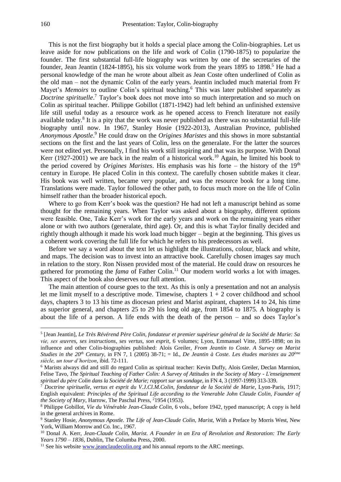This is not the first biography but it holds a special place among the Colin-biographies. Let us leave aside for now publications on the life and work of Colin (1790-1875) to popularize the founder. The first substantial full-life biography was written by one of the secretaries of the founder, Jean Jeantin (1824-1895), his six volume work from the years 1895 to 1898.<sup>5</sup> He had a personal knowledge of the man he wrote about albeit as Jean Coste often underlined of Colin as the old man – not the dynamic Colin of the early years. Jeantin included much material from Fr Mayet's *Memoirs* to outline Colin's spiritual teaching.<sup>6</sup> This was later published separately as *Doctrine spirituelle*. <sup>7</sup> Taylor's book does not move into so much interpretation and so much on Colin as spiritual teacher. Philippe Gobillot (1871-1942) had left behind an unfinished extensive life still useful today as a resource work as he opened access to French literature not easily available today.<sup>8</sup> It is a pity that the work was never published as there was no substantial full-life biography until now. In 1967, Stanley Hosie (1922-2013), Australian Province, published *Anonymous Apostle*. <sup>9</sup> He could draw on the *Origines Maristes* and this shows in more substantial sections on the first and the last years of Colin, less on the generalate. For the latter the sources were not edited yet. Personally, I find his work still inspiring and that was its purpose. With Donal Kerr (1927-2001) we are back in the realm of a historical work.<sup>10</sup> Again, he limited his book to the period covered by *Origines Maristes*. His emphasis was his forte – the history of the  $19<sup>th</sup>$ century in Europe. He placed Colin in this context. The carefully chosen subtitle makes it clear. His book was well written, became very popular, and was the resource book for a long time. Translations were made. Taylor followed the other path, to focus much more on the life of Colin himself rather than the broader historical epoch.

Where to go from Kerr's book was the question? He had not left a manuscript behind as some thought for the remaining years. When Taylor was asked about a biography, different options were feasible. One, Take Kerr's work for the early years and work on the remaining years either alone or with two authors (generalate, third age). Or, and this is what Taylor finally decided and rightly though although it made his work load much bigger – begin at the beginning. This gives us a coherent work covering the full life for which he refers to his predecessors as well.

Before we say a word about the text let us highlight the illustrations, colour, black and white, and maps. The decision was to invest into an attractive book. Carefully chosen images say much in relation to the story. Ron Nissen provided most of the material. He could draw on resources he gathered for promoting the *fama* of Father Colin.<sup>11</sup> Our modern world works a lot with images. This aspect of the book also deserves our full attention.

The main attention of course goes to the text. As this is only a presentation and not an analysis let me limit myself to a descriptive mode. Timewise, chapters  $1 + 2$  cover childhood and school days, chapters 3 to 13 his time as diocesan priest and Marist aspirant, chapters 14 to 24, his time as superior general, and chapters 25 to 29 his long old age, from 1854 to 1875. A biography is about the life of a person. A life ends with the death of the person – and so does Taylor's

<u>.</u>

<sup>5</sup> [Jean Jeantin], *Le Très Révérend Père Colin, fondateur et premier supérieur général de la Société de Marie: Sa vie, ses œuvres, ses instructions, ses vertus, son esprit*, 6 volumes; Lyon, Emmanuel Vitte, 1895-1898; on its influence and other Colin-biographies published: Alois Greiler, *From Jeantin to Coste*. *A Survey on Marist Studies in the 20th Century*, in FN 7, 1 (2005) 38-71; = Id., *De Jeantin à Coste. Les études maristes au 20ème siècle, un tour d'horizon*, ibid. 72-111.

<sup>6</sup> Marists always did and still do regard Colin as spiritual teacher: Kevin Duffy, Alois Greiler, Declan Marmion, Felise Tavo, *The Spiritual Teaching of Father Colin: A Survey of Attitudes in the Society of Mary - L'enseignement spirituel du père Colin dans la Société de Marie; rapport sur un sondage*, in FN 4, 3 (1997-1999) 313-339.

<sup>7</sup> *Doctrine spirituelle, vertus et esprit du V.J.Cl.M.Colin, fondateur de la Société de Marie*, Lyon-Paris, 1917; English equivalent: *Principles of the Spiritual Life according to the Venerable John Claude Colin, Founder of the Society of Mary*, Harrow, The Paschal Press, <sup>2</sup>1954 (1953).

<sup>8</sup> Philippe Gobillot, *Vie du Vénérable Jean-Claude Colin*, 6 vols., before 1942, typed manuscript; A copy is held in the general archives in Rome.

<sup>9</sup> Stanley Hosie, *Anonymous Apostle. The Life of Jean-Claude Colin, Marist*, With a Preface by Morris West, New York, William Morrow and Co. Inc., 1967.

<sup>10</sup> Donal A. Kerr, *Jean-Claude Colin, Marist. A Founder in an Era of Revolution and Restoration: The Early Years 1790 – 1836*, Dublin, The Columba Press, 2000.

 $11$  See his website [www.jeanclaudecolin.org](http://www.jeanclaudecolin.org/) and his annual reports to the ARC meetings.